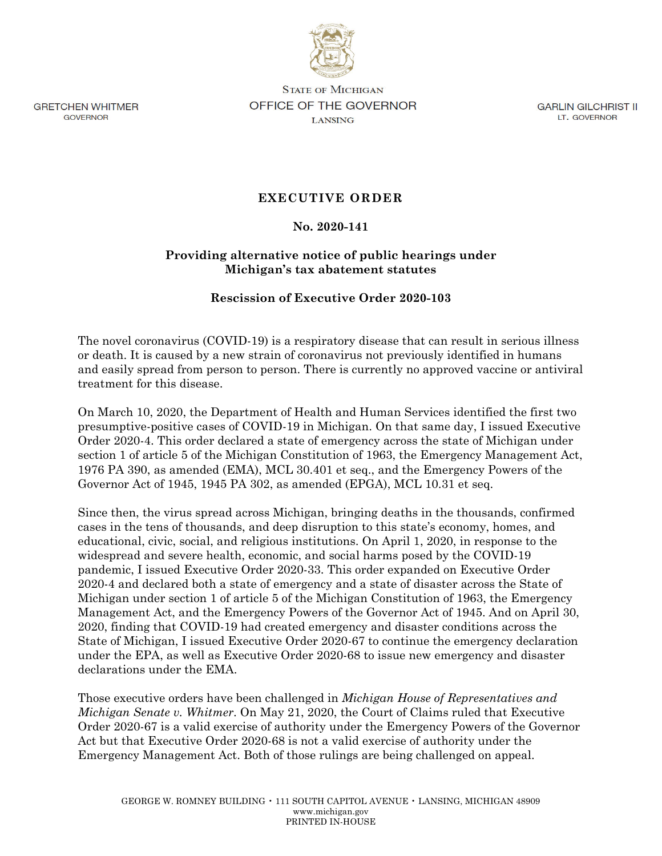

**GRETCHEN WHITMER** GOVERNOR

**STATE OF MICHIGAN** OFFICE OF THE GOVERNOR LANSING

GARLIN GILCHRIST II LT. GOVERNOR

## **EXECUTIVE ORDER**

## **No. 2020-141**

## **Providing alternative notice of public hearings under Michigan's tax abatement statutes**

## **Rescission of Executive Order 2020-103**

The novel coronavirus (COVID-19) is a respiratory disease that can result in serious illness or death. It is caused by a new strain of coronavirus not previously identified in humans and easily spread from person to person. There is currently no approved vaccine or antiviral treatment for this disease.

On March 10, 2020, the Department of Health and Human Services identified the first two presumptive-positive cases of COVID-19 in Michigan. On that same day, I issued Executive Order 2020-4. This order declared a state of emergency across the state of Michigan under section 1 of article 5 of the Michigan Constitution of 1963, the Emergency Management Act, 1976 PA 390, as amended (EMA), MCL 30.401 et seq., and the Emergency Powers of the Governor Act of 1945, 1945 PA 302, as amended (EPGA), MCL 10.31 et seq.

Since then, the virus spread across Michigan, bringing deaths in the thousands, confirmed cases in the tens of thousands, and deep disruption to this state's economy, homes, and educational, civic, social, and religious institutions. On April 1, 2020, in response to the widespread and severe health, economic, and social harms posed by the COVID-19 pandemic, I issued Executive Order 2020-33. This order expanded on Executive Order 2020-4 and declared both a state of emergency and a state of disaster across the State of Michigan under section 1 of article 5 of the Michigan Constitution of 1963, the Emergency Management Act, and the Emergency Powers of the Governor Act of 1945. And on April 30, 2020, finding that COVID-19 had created emergency and disaster conditions across the State of Michigan, I issued Executive Order 2020-67 to continue the emergency declaration under the EPA, as well as Executive Order 2020-68 to issue new emergency and disaster declarations under the EMA.

Those executive orders have been challenged in *Michigan House of Representatives and Michigan Senate v. Whitmer*. On May 21, 2020, the Court of Claims ruled that Executive Order 2020-67 is a valid exercise of authority under the Emergency Powers of the Governor Act but that Executive Order 2020-68 is not a valid exercise of authority under the Emergency Management Act. Both of those rulings are being challenged on appeal.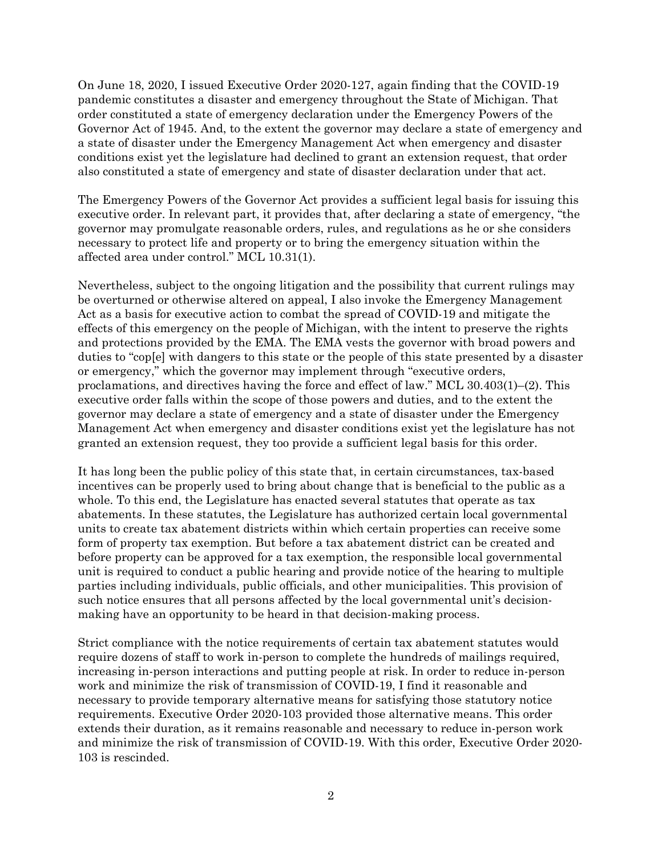On June 18, 2020, I issued Executive Order 2020-127, again finding that the COVID-19 pandemic constitutes a disaster and emergency throughout the State of Michigan. That order constituted a state of emergency declaration under the Emergency Powers of the Governor Act of 1945. And, to the extent the governor may declare a state of emergency and a state of disaster under the Emergency Management Act when emergency and disaster conditions exist yet the legislature had declined to grant an extension request, that order also constituted a state of emergency and state of disaster declaration under that act.

The Emergency Powers of the Governor Act provides a sufficient legal basis for issuing this executive order. In relevant part, it provides that, after declaring a state of emergency, "the governor may promulgate reasonable orders, rules, and regulations as he or she considers necessary to protect life and property or to bring the emergency situation within the affected area under control." MCL 10.31(1).

Nevertheless, subject to the ongoing litigation and the possibility that current rulings may be overturned or otherwise altered on appeal, I also invoke the Emergency Management Act as a basis for executive action to combat the spread of COVID-19 and mitigate the effects of this emergency on the people of Michigan, with the intent to preserve the rights and protections provided by the EMA. The EMA vests the governor with broad powers and duties to "cop[e] with dangers to this state or the people of this state presented by a disaster or emergency," which the governor may implement through "executive orders, proclamations, and directives having the force and effect of law." MCL 30.403(1)–(2). This executive order falls within the scope of those powers and duties, and to the extent the governor may declare a state of emergency and a state of disaster under the Emergency Management Act when emergency and disaster conditions exist yet the legislature has not granted an extension request, they too provide a sufficient legal basis for this order.

It has long been the public policy of this state that, in certain circumstances, tax-based incentives can be properly used to bring about change that is beneficial to the public as a whole. To this end, the Legislature has enacted several statutes that operate as tax abatements. In these statutes, the Legislature has authorized certain local governmental units to create tax abatement districts within which certain properties can receive some form of property tax exemption. But before a tax abatement district can be created and before property can be approved for a tax exemption, the responsible local governmental unit is required to conduct a public hearing and provide notice of the hearing to multiple parties including individuals, public officials, and other municipalities. This provision of such notice ensures that all persons affected by the local governmental unit's decisionmaking have an opportunity to be heard in that decision-making process.

Strict compliance with the notice requirements of certain tax abatement statutes would require dozens of staff to work in-person to complete the hundreds of mailings required, increasing in-person interactions and putting people at risk. In order to reduce in-person work and minimize the risk of transmission of COVID-19, I find it reasonable and necessary to provide temporary alternative means for satisfying those statutory notice requirements. Executive Order 2020-103 provided those alternative means. This order extends their duration, as it remains reasonable and necessary to reduce in-person work and minimize the risk of transmission of COVID-19. With this order, Executive Order 2020- 103 is rescinded.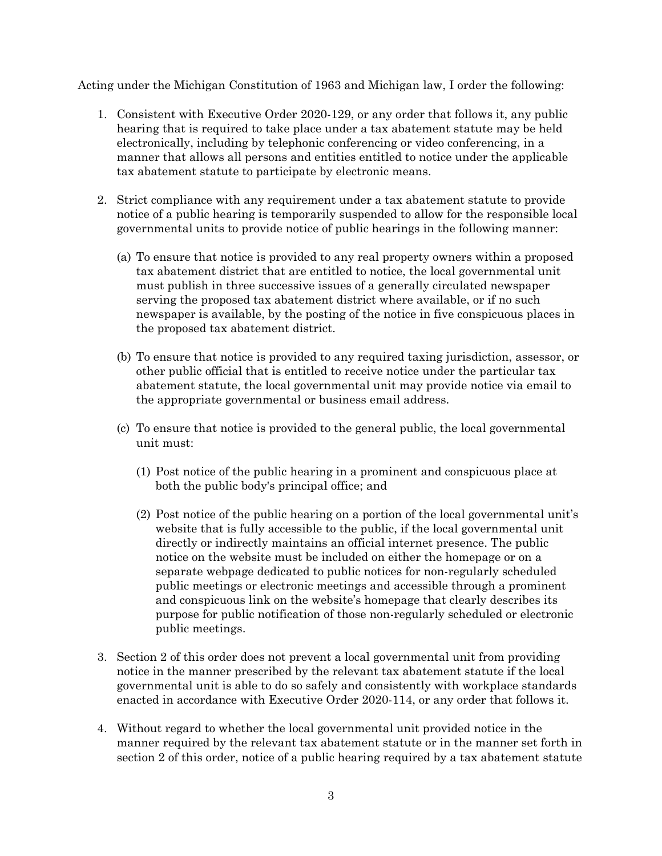Acting under the Michigan Constitution of 1963 and Michigan law, I order the following:

- 1. Consistent with Executive Order 2020-129, or any order that follows it, any public hearing that is required to take place under a tax abatement statute may be held electronically, including by telephonic conferencing or video conferencing, in a manner that allows all persons and entities entitled to notice under the applicable tax abatement statute to participate by electronic means.
- 2. Strict compliance with any requirement under a tax abatement statute to provide notice of a public hearing is temporarily suspended to allow for the responsible local governmental units to provide notice of public hearings in the following manner:
	- (a) To ensure that notice is provided to any real property owners within a proposed tax abatement district that are entitled to notice, the local governmental unit must publish in three successive issues of a generally circulated newspaper serving the proposed tax abatement district where available, or if no such newspaper is available, by the posting of the notice in five conspicuous places in the proposed tax abatement district.
	- (b) To ensure that notice is provided to any required taxing jurisdiction, assessor, or other public official that is entitled to receive notice under the particular tax abatement statute, the local governmental unit may provide notice via email to the appropriate governmental or business email address.
	- (c) To ensure that notice is provided to the general public, the local governmental unit must:
		- (1) Post notice of the public hearing in a prominent and conspicuous place at both the public body's principal office; and
		- (2) Post notice of the public hearing on a portion of the local governmental unit's website that is fully accessible to the public, if the local governmental unit directly or indirectly maintains an official internet presence. The public notice on the website must be included on either the homepage or on a separate webpage dedicated to public notices for non-regularly scheduled public meetings or electronic meetings and accessible through a prominent and conspicuous link on the website's homepage that clearly describes its purpose for public notification of those non-regularly scheduled or electronic public meetings.
- 3. Section 2 of this order does not prevent a local governmental unit from providing notice in the manner prescribed by the relevant tax abatement statute if the local governmental unit is able to do so safely and consistently with workplace standards enacted in accordance with Executive Order 2020-114, or any order that follows it.
- 4. Without regard to whether the local governmental unit provided notice in the manner required by the relevant tax abatement statute or in the manner set forth in section 2 of this order, notice of a public hearing required by a tax abatement statute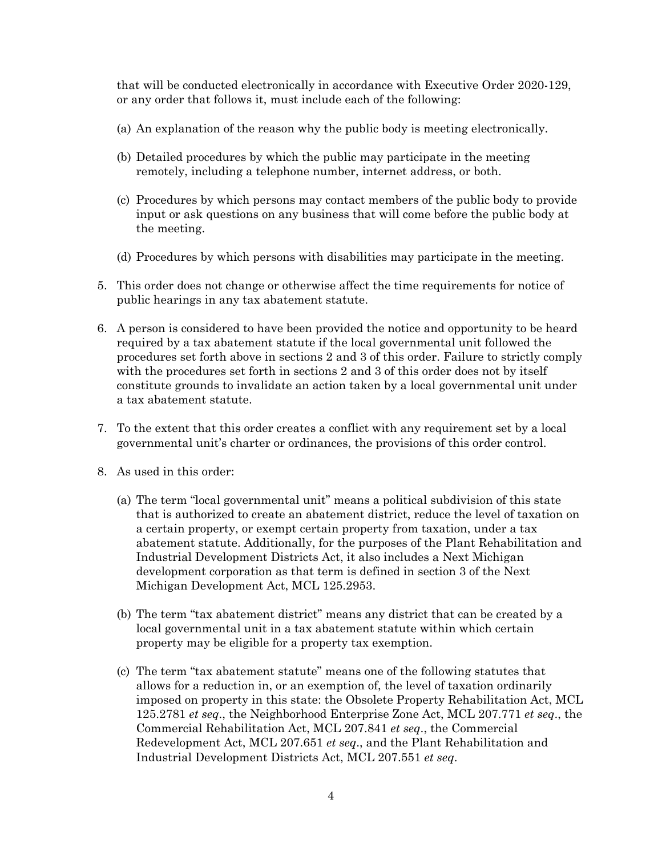that will be conducted electronically in accordance with Executive Order 2020-129, or any order that follows it, must include each of the following:

- (a) An explanation of the reason why the public body is meeting electronically.
- (b) Detailed procedures by which the public may participate in the meeting remotely, including a telephone number, internet address, or both.
- (c) Procedures by which persons may contact members of the public body to provide input or ask questions on any business that will come before the public body at the meeting.
- (d) Procedures by which persons with disabilities may participate in the meeting.
- 5. This order does not change or otherwise affect the time requirements for notice of public hearings in any tax abatement statute.
- 6. A person is considered to have been provided the notice and opportunity to be heard required by a tax abatement statute if the local governmental unit followed the procedures set forth above in sections 2 and 3 of this order. Failure to strictly comply with the procedures set forth in sections 2 and 3 of this order does not by itself constitute grounds to invalidate an action taken by a local governmental unit under a tax abatement statute.
- 7. To the extent that this order creates a conflict with any requirement set by a local governmental unit's charter or ordinances, the provisions of this order control.
- 8. As used in this order:
	- (a) The term "local governmental unit" means a political subdivision of this state that is authorized to create an abatement district, reduce the level of taxation on a certain property, or exempt certain property from taxation, under a tax abatement statute. Additionally, for the purposes of the Plant Rehabilitation and Industrial Development Districts Act, it also includes a Next Michigan development corporation as that term is defined in section 3 of the Next Michigan Development Act, MCL 125.2953.
	- (b) The term "tax abatement district" means any district that can be created by a local governmental unit in a tax abatement statute within which certain property may be eligible for a property tax exemption.
	- (c) The term "tax abatement statute" means one of the following statutes that allows for a reduction in, or an exemption of, the level of taxation ordinarily imposed on property in this state: the Obsolete Property Rehabilitation Act, MCL 125.2781 *et seq*., the Neighborhood Enterprise Zone Act, MCL 207.771 *et seq*., the Commercial Rehabilitation Act, MCL 207.841 *et seq*., the Commercial Redevelopment Act, MCL 207.651 *et seq*., and the Plant Rehabilitation and Industrial Development Districts Act, MCL 207.551 *et seq*.